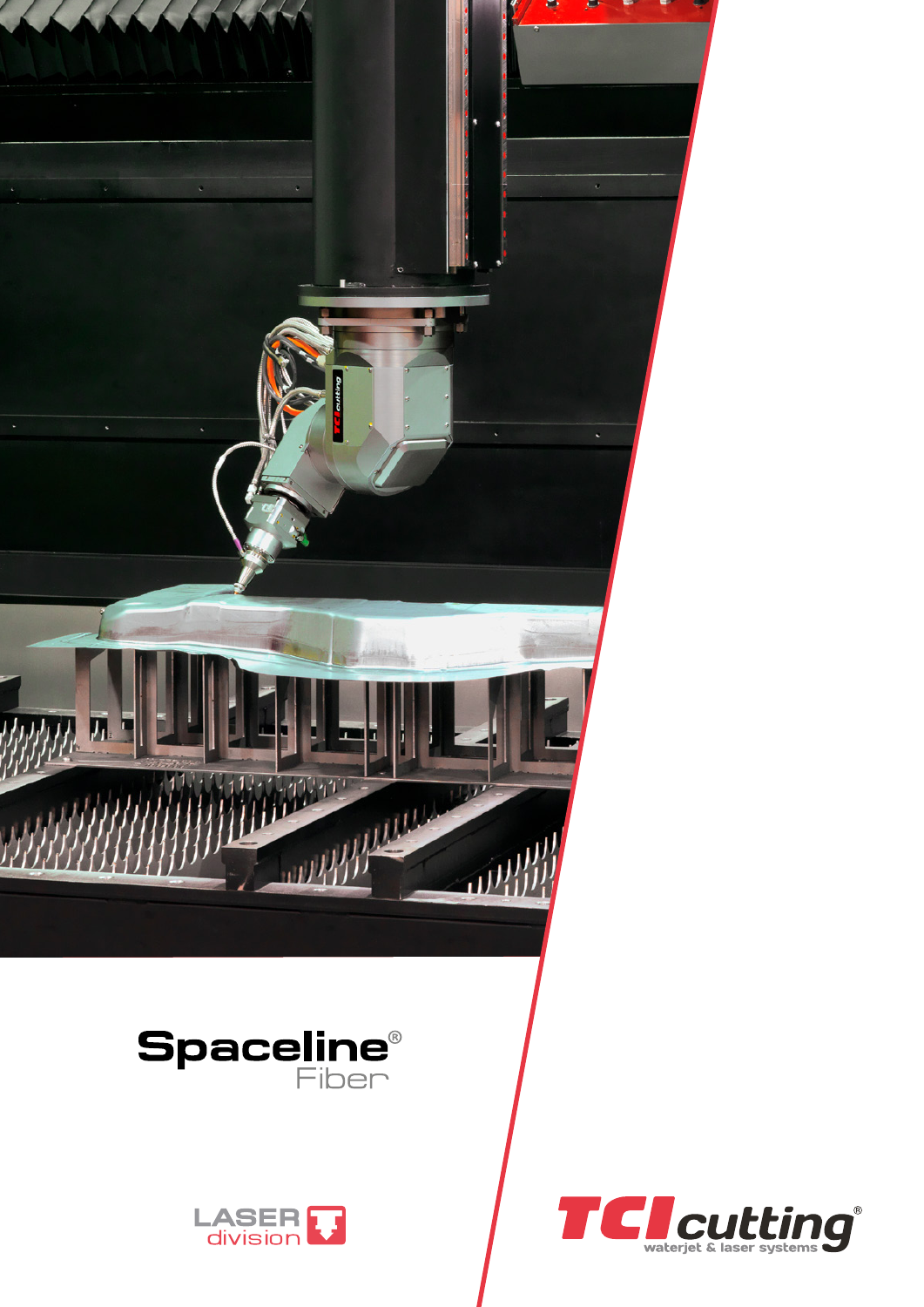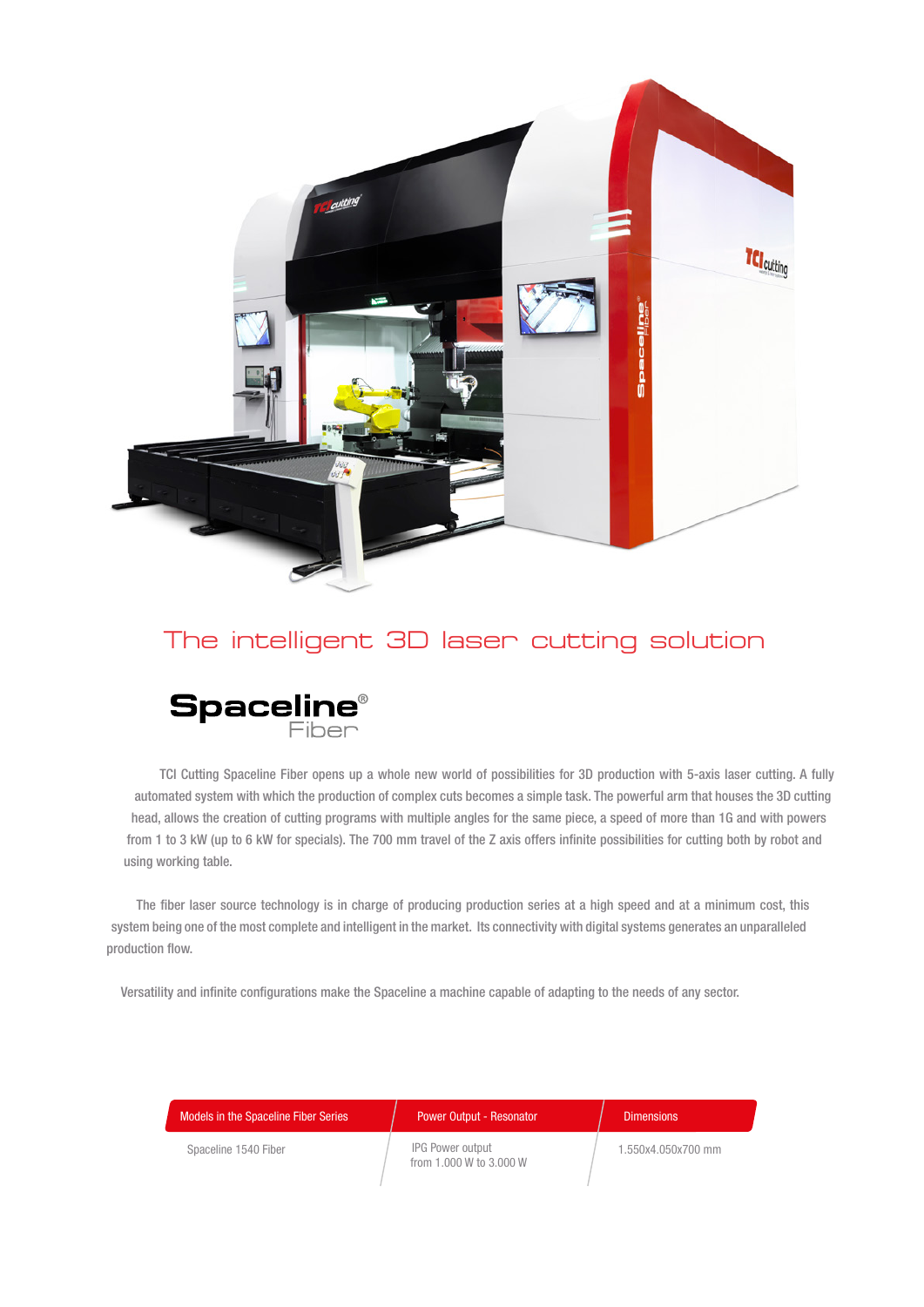

## The intelligent 3D laser cutting solution



TCI Cutting Spaceline Fiber opens up a whole new world of possibilities for 3D production with 5-axis laser cutting. A fully automated system with which the production of complex cuts becomes a simple task. The powerful arm that houses the 3D cutting head, allows the creation of cutting programs with multiple angles for the same piece, a speed of more than 1G and with powers from 1 to 3 kW (up to 6 kW for specials). The 700 mm travel of the Z axis offers infinite possibilities for cutting both by robot and using working table.

The fiber laser source technology is in charge of producing production series at a high speed and at a minimum cost, this system being one of the most complete and intelligent in the market. Its connectivity with digital systems generates an unparalleled production flow.

Versatility and infinite configurations make the Spaceline a machine capable of adapting to the needs of any sector.

| <b>Models in the Spaceline Fiber Series</b> | <b>Power Output - Resonator</b>                    | <b>Dimensions</b>  |
|---------------------------------------------|----------------------------------------------------|--------------------|
| Spaceline 1540 Fiber                        | <b>IPG Power output</b><br>from 1,000 W to 3,000 W | 1.550x4.050x700 mm |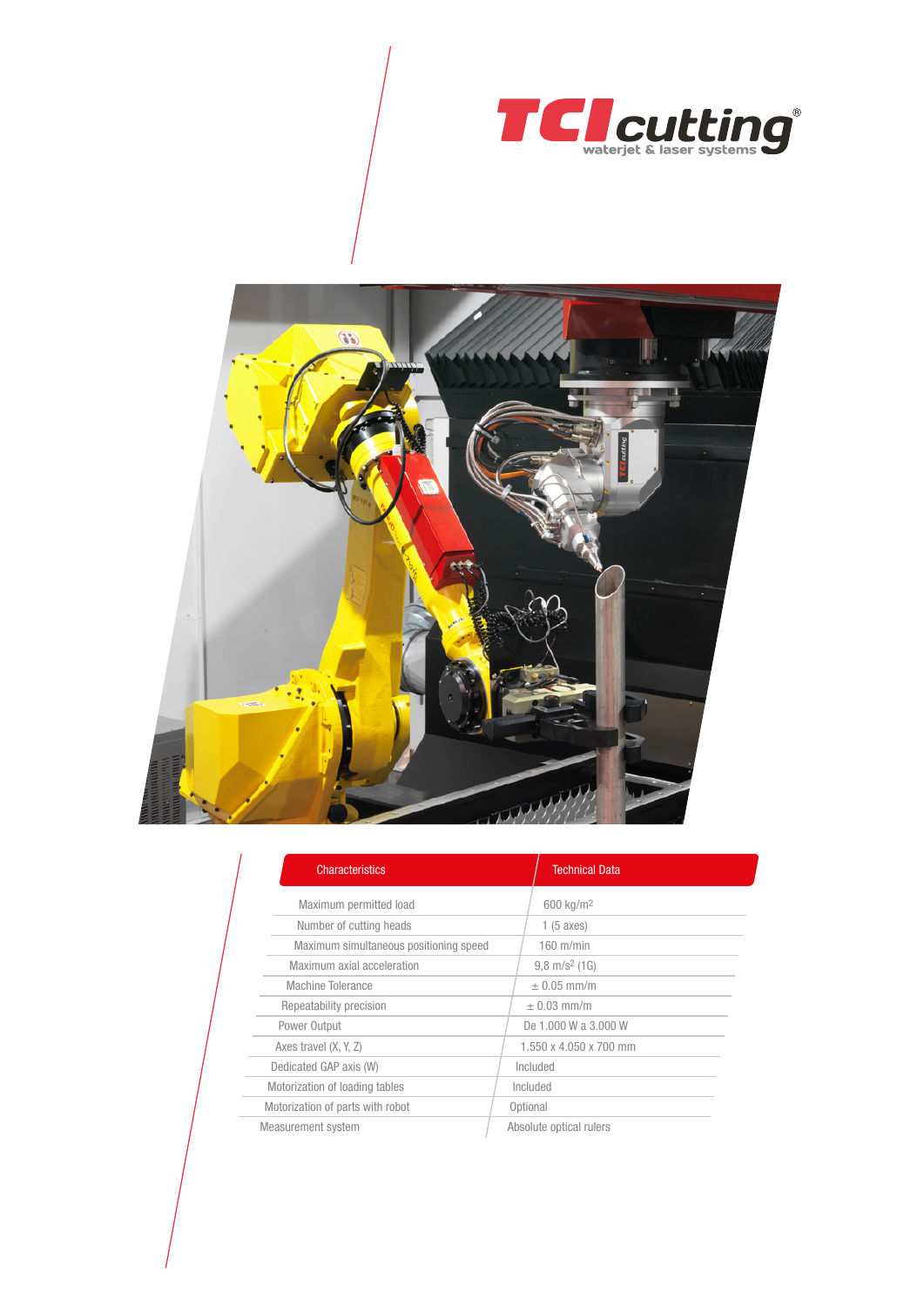



| <b>Characteristics</b>                 | <b>Technical Data</b>    |  |
|----------------------------------------|--------------------------|--|
| Maximum permitted load                 | 600 kg/m <sup>2</sup>    |  |
| Number of cutting heads                | 1(5 axes)                |  |
| Maximum simultaneous positioning speed | $160$ m/min              |  |
| Maximum axial acceleration             | $9,8 \text{ m/s}^2$ (1G) |  |
| Machine Tolerance                      | $\pm$ 0.05 mm/m          |  |
| Repeatability precision                | $\pm$ 0.03 mm/m          |  |
| Power Output                           | De 1,000 W a 3,000 W     |  |
| Axes travel (X, Y, Z)                  | 1.550 x 4.050 x 700 mm   |  |
| Dedicated GAP axis (W)                 | Included                 |  |
| Motorization of loading tables         | Included                 |  |
| Motorization of parts with robot       | Optional                 |  |
| Measurement system                     | Absolute optical rulers  |  |

Ξ